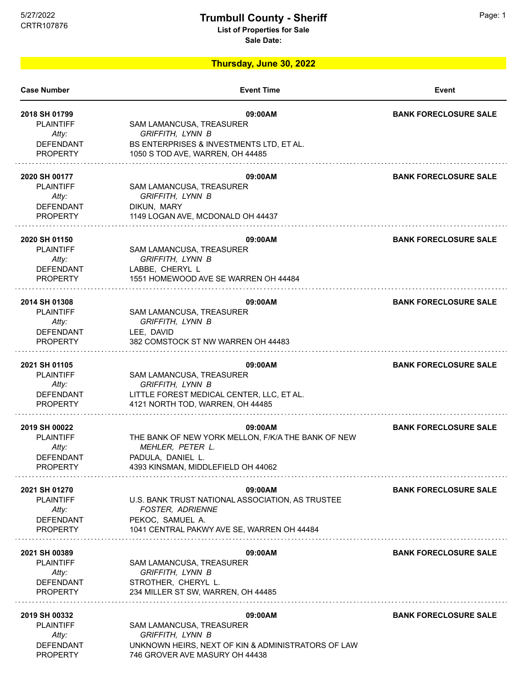## 5/27/2022 Page: 1 **Trumbull County - Sheriff**

**List of Properties for Sale**

**Sale Date:**

**Thursday, June 30, 2022**

| <b>Case Number</b>                         | <b>Event Time</b>                                                            | Event                        |
|--------------------------------------------|------------------------------------------------------------------------------|------------------------------|
| 2018 SH 01799<br><b>PLAINTIFF</b><br>Atty: | 09:00AM<br>SAM LAMANCUSA, TREASURER<br><b>GRIFFITH, LYNN B</b>               | <b>BANK FORECLOSURE SALE</b> |
| <b>DEFENDANT</b><br><b>PROPERTY</b>        | BS ENTERPRISES & INVESTMENTS LTD, ET AL.<br>1050 S TOD AVE, WARREN, OH 44485 |                              |
| 2020 SH 00177<br><b>PLAINTIFF</b>          | 09:00AM<br>SAM LAMANCUSA, TREASURER                                          | <b>BANK FORECLOSURE SALE</b> |
| Atty:                                      | <b>GRIFFITH, LYNN B</b>                                                      |                              |
| <b>DEFENDANT</b><br><b>PROPERTY</b>        | DIKUN, MARY<br>1149 LOGAN AVE, MCDONALD OH 44437                             |                              |
| 2020 SH 01150                              | 09:00AM                                                                      | <b>BANK FORECLOSURE SALE</b> |
| <b>PLAINTIFF</b><br>Atty:                  | SAM LAMANCUSA, TREASURER<br><b>GRIFFITH, LYNN B</b>                          |                              |
| <b>DEFENDANT</b><br><b>PROPERTY</b>        | LABBE, CHERYL L<br>1551 HOMEWOOD AVE SE WARREN OH 44484                      |                              |
| 2014 SH 01308                              | 09:00AM                                                                      | <b>BANK FORECLOSURE SALE</b> |
| <b>PLAINTIFF</b><br>Atty:                  | SAM LAMANCUSA, TREASURER<br>GRIFFITH, LYNN B                                 |                              |
| <b>DEFENDANT</b>                           | LEE, DAVID                                                                   |                              |
| <b>PROPERTY</b>                            | 382 COMSTOCK ST NW WARREN OH 44483                                           |                              |
| 2021 SH 01105<br><b>PLAINTIFF</b>          | 09:00AM                                                                      | <b>BANK FORECLOSURE SALE</b> |
| Atty:                                      | SAM LAMANCUSA, TREASURER<br>GRIFFITH, LYNN B                                 |                              |
| DEFENDANT                                  | LITTLE FOREST MEDICAL CENTER, LLC, ET AL.                                    |                              |
| <b>PROPERTY</b>                            | 4121 NORTH TOD, WARREN, OH 44485                                             |                              |
| 2019 SH 00022                              | 09:00AM                                                                      | <b>BANK FORECLOSURE SALE</b> |
| <b>PLAINTIFF</b><br>Atty:                  | THE BANK OF NEW YORK MELLON, F/K/A THE BANK OF NEW<br>MEHLER, PETER L.       |                              |
| <b>DEFENDANT</b>                           | PADULA, DANIEL L.                                                            |                              |
| <b>PROPERTY</b>                            | 4393 KINSMAN, MIDDLEFIELD OH 44062                                           |                              |
| 2021 SH 01270                              | 09:00AM                                                                      | <b>BANK FORECLOSURE SALE</b> |
| <b>PLAINTIFF</b><br>Atty:                  | U.S. BANK TRUST NATIONAL ASSOCIATION, AS TRUSTEE<br><b>FOSTER, ADRIENNE</b>  |                              |
| <b>DEFENDANT</b>                           | PEKOC, SAMUEL A.                                                             |                              |
| <b>PROPERTY</b>                            | 1041 CENTRAL PAKWY AVE SE, WARREN OH 44484                                   |                              |
| 2021 SH 00389                              | 09:00AM                                                                      | <b>BANK FORECLOSURE SALE</b> |
| <b>PLAINTIFF</b><br>Atty:                  | SAM LAMANCUSA, TREASURER<br>GRIFFITH, LYNN B                                 |                              |
| <b>DEFENDANT</b>                           | STROTHER, CHERYL L.                                                          |                              |
| <b>PROPERTY</b>                            | 234 MILLER ST SW, WARREN, OH 44485                                           |                              |
| 2019 SH 00332                              | 09:00AM                                                                      | <b>BANK FORECLOSURE SALE</b> |
| <b>PLAINTIFF</b>                           | SAM LAMANCUSA, TREASURER                                                     |                              |
| Atty:<br><b>DEFENDANT</b>                  | GRIFFITH, LYNN B<br>UNKNOWN HEIRS, NEXT OF KIN & ADMINISTRATORS OF LAW       |                              |
| <b>PROPERTY</b>                            | 746 GROVER AVE MASURY OH 44438                                               |                              |